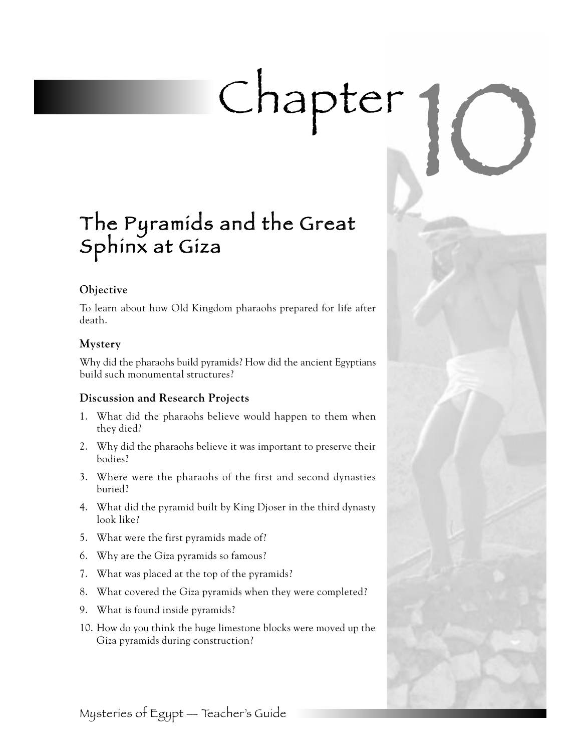# Chapter 1

# The Pyramids and the Great Sphinx at Giza

# **Objective**

To learn about how Old Kingdom pharaohs prepared for life after death.

# **Mystery**

Why did the pharaohs build pyramids? How did the ancient Egyptians build such monumental structures?

# **Discussion and Research Projects**

- 1. What did the pharaohs believe would happen to them when they died?
- 2. Why did the pharaohs believe it was important to preserve their bodies?
- 3. Where were the pharaohs of the first and second dynasties buried?
- 4. What did the pyramid built by King Djoser in the third dynasty look like?
- 5. What were the first pyramids made of?
- 6. Why are the Giza pyramids so famous?
- 7. What was placed at the top of the pyramids?
- 8. What covered the Giza pyramids when they were completed?
- 9. What is found inside pyramids?
- 10. How do you think the huge limestone blocks were moved up the Giza pyramids during construction?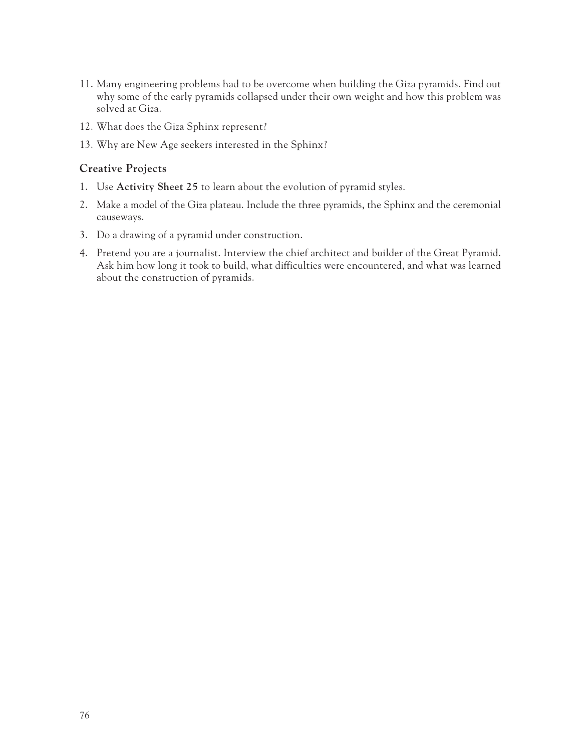- 11. Many engineering problems had to be overcome when building the Giza pyramids. Find out why some of the early pyramids collapsed under their own weight and how this problem was solved at Giza.
- 12. What does the Giza Sphinx represent?
- 13. Why are New Age seekers interested in the Sphinx?

# **Creative Projects**

- 1. Use **Activity Sheet 25** to learn about the evolution of pyramid styles.
- 2. Make a model of the Giza plateau. Include the three pyramids, the Sphinx and the ceremonial causeways.
- 3. Do a drawing of a pyramid under construction.
- 4. Pretend you are a journalist. Interview the chief architect and builder of the Great Pyramid. Ask him how long it took to build, what difficulties were encountered, and what was learned about the construction of pyramids.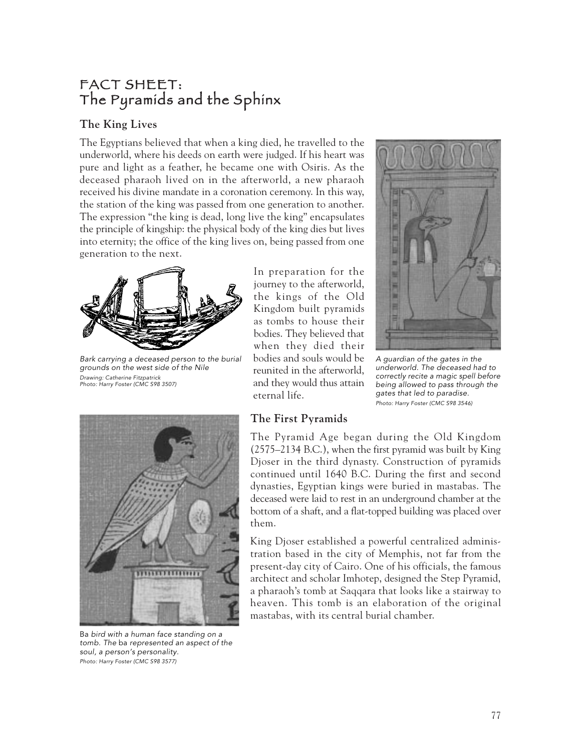# FACT SHEET: The Pyramids and the Sphinx

# **The King Lives**

The Egyptians believed that when a king died, he travelled to the underworld, where his deeds on earth were judged. If his heart was pure and light as a feather, he became one with Osiris. As the deceased pharaoh lived on in the afterworld, a new pharaoh received his divine mandate in a coronation ceremony. In this way, the station of the king was passed from one generation to another. The expression "the king is dead, long live the king" encapsulates the principle of kingship: the physical body of the king dies but lives into eternity; the office of the king lives on, being passed from one generation to the next.



Bark carrying a deceased person to the burial grounds on the west side of the Nile Drawing: Catherine Fitzpatrick Photo: Harry Foster (CMC S98 3507)

In preparation for the journey to the afterworld, the kings of the Old Kingdom built pyramids as tombs to house their bodies. They believed that when they died their bodies and souls would be reunited in the afterworld, and they would thus attain eternal life.





A guardian of the gates in the underworld. The deceased had to correctly recite a magic spell before being allowed to pass through the gates that led to paradise. Photo: Harry Foster (CMC S98 3546)



Ba bird with a human face standing on a tomb. The ba represented an aspect of the soul, a person's personality. Photo: Harry Foster (CMC S98 3577)

The Pyramid Age began during the Old Kingdom (2575–2134 B.C.), when the first pyramid was built by King Djoser in the third dynasty. Construction of pyramids continued until 1640 B.C. During the first and second dynasties, Egyptian kings were buried in mastabas. The deceased were laid to rest in an underground chamber at the bottom of a shaft, and a flat-topped building was placed over them.

King Djoser established a powerful centralized administration based in the city of Memphis, not far from the present-day city of Cairo. One of his officials, the famous architect and scholar Imhotep, designed the Step Pyramid, a pharaoh's tomb at Saqqara that looks like a stairway to heaven. This tomb is an elaboration of the original mastabas, with its central burial chamber.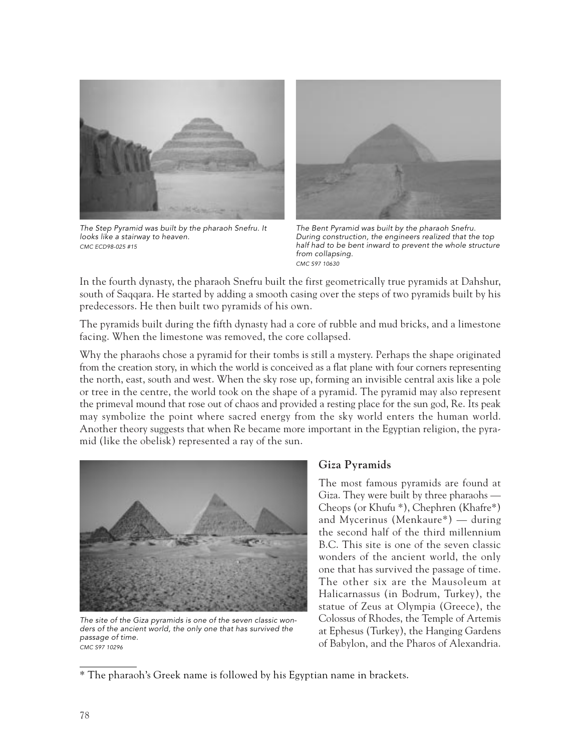

The Step Pyramid was built by the pharaoh Snefru. It looks like a stairway to heaven. CMC ECD98-025 #15



The Bent Pyramid was built by the pharaoh Snefru. During construction, the engineers realized that the top half had to be bent inward to prevent the whole structure from collapsing. CMC S97 10630

In the fourth dynasty, the pharaoh Snefru built the first geometrically true pyramids at Dahshur, south of Saqqara. He started by adding a smooth casing over the steps of two pyramids built by his predecessors. He then built two pyramids of his own.

The pyramids built during the fifth dynasty had a core of rubble and mud bricks, and a limestone facing. When the limestone was removed, the core collapsed.

Why the pharaohs chose a pyramid for their tombs is still a mystery. Perhaps the shape originated from the creation story, in which the world is conceived as a flat plane with four corners representing the north, east, south and west. When the sky rose up, forming an invisible central axis like a pole or tree in the centre, the world took on the shape of a pyramid. The pyramid may also represent the primeval mound that rose out of chaos and provided a resting place for the sun god, Re. Its peak may symbolize the point where sacred energy from the sky world enters the human world. Another theory suggests that when Re became more important in the Egyptian religion, the pyramid (like the obelisk) represented a ray of the sun.



The site of the Giza pyramids is one of the seven classic wonders of the ancient world, the only one that has survived the passage of time. .<br>CMC S97 10296

### **Giza Pyramids**

The most famous pyramids are found at Giza. They were built by three pharaohs — Cheops (or Khufu \*), Chephren (Khafre\*) and Mycerinus (Menkaure\*) — during the second half of the third millennium B.C. This site is one of the seven classic wonders of the ancient world, the only one that has survived the passage of time. The other six are the Mausoleum at Halicarnassus (in Bodrum, Turkey), the statue of Zeus at Olympia (Greece), the Colossus of Rhodes, the Temple of Artemis at Ephesus (Turkey), the Hanging Gardens of Babylon, and the Pharos of Alexandria.

<sup>\*</sup> The pharaoh's Greek name is followed by his Egyptian name in brackets.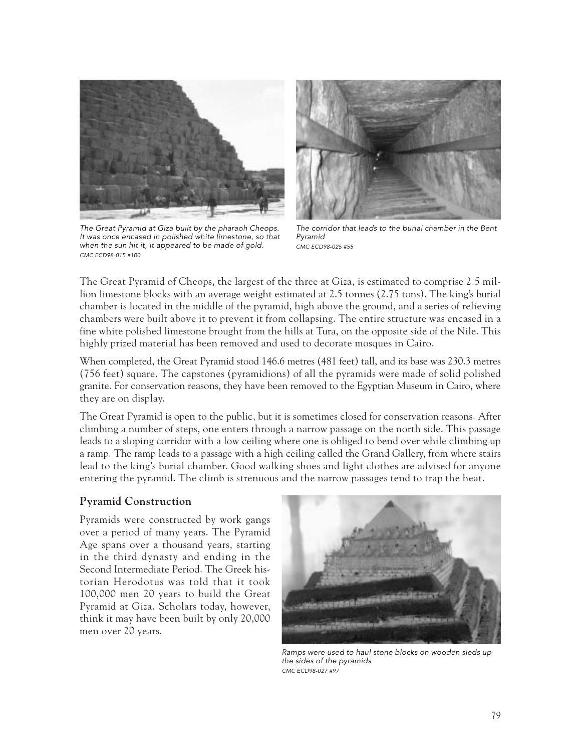

The Great Pyramid at Giza built by the pharaoh Cheops. It was once encased in polished white limestone, so that when the sun hit it, it appeared to be made of gold. CMC ECD98-015 #100



The corridor that leads to the burial chamber in the Bent Pyramid CMC ECD98-025 #55

The Great Pyramid of Cheops, the largest of the three at Giza, is estimated to comprise 2.5 million limestone blocks with an average weight estimated at 2.5 tonnes (2.75 tons). The king's burial chamber is located in the middle of the pyramid, high above the ground, and a series of relieving chambers were built above it to prevent it from collapsing. The entire structure was encased in a fine white polished limestone brought from the hills at Tura, on the opposite side of the Nile. This highly prized material has been removed and used to decorate mosques in Cairo.

When completed, the Great Pyramid stood 146.6 metres (481 feet) tall, and its base was 230.3 metres (756 feet) square. The capstones (pyramidions) of all the pyramids were made of solid polished granite. For conservation reasons, they have been removed to the Egyptian Museum in Cairo, where they are on display.

The Great Pyramid is open to the public, but it is sometimes closed for conservation reasons. After climbing a number of steps, one enters through a narrow passage on the north side. This passage leads to a sloping corridor with a low ceiling where one is obliged to bend over while climbing up a ramp. The ramp leads to a passage with a high ceiling called the Grand Gallery, from where stairs lead to the king's burial chamber. Good walking shoes and light clothes are advised for anyone entering the pyramid. The climb is strenuous and the narrow passages tend to trap the heat.

## **Pyramid Construction**

Pyramids were constructed by work gangs over a period of many years. The Pyramid Age spans over a thousand years, starting in the third dynasty and ending in the Second Intermediate Period. The Greek historian Herodotus was told that it took 100,000 men 20 years to build the Great Pyramid at Giza. Scholars today, however, think it may have been built by only 20,000 men over 20 years.



Ramps were used to haul stone blocks on wooden sleds up the sides of the pyramids CMC ECD98-027 #97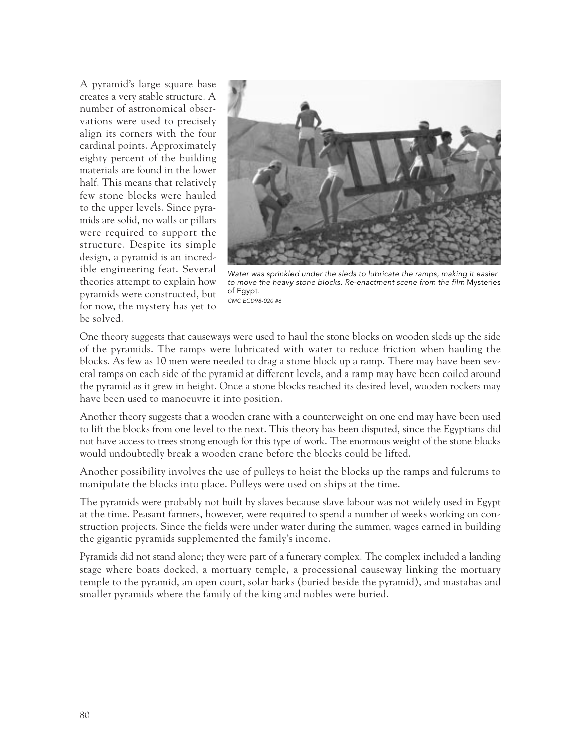A pyramid's large square base creates a very stable structure. A number of astronomical observations were used to precisely align its corners with the four cardinal points. Approximately eighty percent of the building materials are found in the lower half. This means that relatively few stone blocks were hauled to the upper levels. Since pyramids are solid, no walls or pillars were required to support the structure. Despite its simple design, a pyramid is an incredible engineering feat. Several theories attempt to explain how pyramids were constructed, but for now, the mystery has yet to be solved.



Water was sprinkled under the sleds to lubricate the ramps, making it easier to move the heavy stone blocks. Re-enactment scene from the film Mysteries of Egypt. CMC ECD98-020 #6

One theory suggests that causeways were used to haul the stone blocks on wooden sleds up the side of the pyramids. The ramps were lubricated with water to reduce friction when hauling the blocks. As few as 10 men were needed to drag a stone block up a ramp. There may have been several ramps on each side of the pyramid at different levels, and a ramp may have been coiled around the pyramid as it grew in height. Once a stone blocks reached its desired level, wooden rockers may have been used to manoeuvre it into position.

Another theory suggests that a wooden crane with a counterweight on one end may have been used to lift the blocks from one level to the next. This theory has been disputed, since the Egyptians did not have access to trees strong enough for this type of work. The enormous weight of the stone blocks would undoubtedly break a wooden crane before the blocks could be lifted.

Another possibility involves the use of pulleys to hoist the blocks up the ramps and fulcrums to manipulate the blocks into place. Pulleys were used on ships at the time.

The pyramids were probably not built by slaves because slave labour was not widely used in Egypt at the time. Peasant farmers, however, were required to spend a number of weeks working on construction projects. Since the fields were under water during the summer, wages earned in building the gigantic pyramids supplemented the family's income.

Pyramids did not stand alone; they were part of a funerary complex. The complex included a landing stage where boats docked, a mortuary temple, a processional causeway linking the mortuary temple to the pyramid, an open court, solar barks (buried beside the pyramid), and mastabas and smaller pyramids where the family of the king and nobles were buried.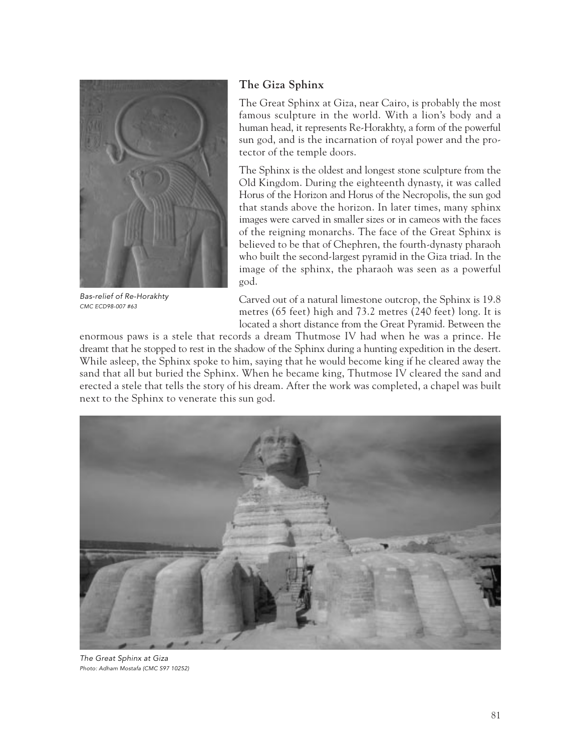

Bas-relief of Re-Horakhty CMC ECD98-007 #63

# **The Giza Sphinx**

The Great Sphinx at Giza, near Cairo, is probably the most famous sculpture in the world. With a lion's body and a human head, it represents Re-Horakhty, a form of the powerful sun god, and is the incarnation of royal power and the protector of the temple doors.

The Sphinx is the oldest and longest stone sculpture from the Old Kingdom. During the eighteenth dynasty, it was called Horus of the Horizon and Horus of the Necropolis, the sun god that stands above the horizon. In later times, many sphinx images were carved in smaller sizes or in cameos with the faces of the reigning monarchs. The face of the Great Sphinx is believed to be that of Chephren, the fourth-dynasty pharaoh who built the second-largest pyramid in the Giza triad. In the image of the sphinx, the pharaoh was seen as a powerful god.

Carved out of a natural limestone outcrop, the Sphinx is 19.8 metres (65 feet) high and 73.2 metres (240 feet) long. It is located a short distance from the Great Pyramid. Between the

enormous paws is a stele that records a dream Thutmose IV had when he was a prince. He dreamt that he stopped to rest in the shadow of the Sphinx during a hunting expedition in the desert. While asleep, the Sphinx spoke to him, saying that he would become king if he cleared away the sand that all but buried the Sphinx. When he became king, Thutmose IV cleared the sand and erected a stele that tells the story of his dream. After the work was completed, a chapel was built next to the Sphinx to venerate this sun god.



The Great Sphinx at Giza Photo: Adham Mostafa (CMC S97 10252)